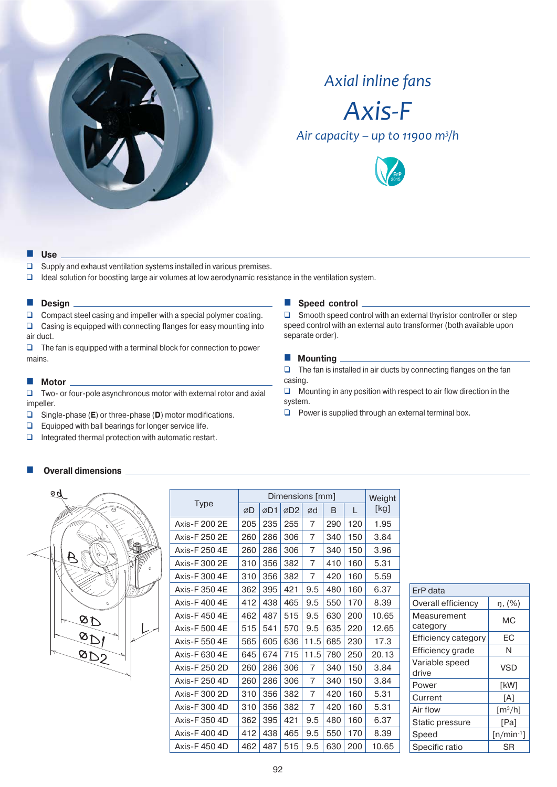

# *Axial inline fans*



*Ȃ͙͙͘͘͡<sup>3</sup> /h*



#### **Use**

- $\square$  Supply and exhaust ventilation systems installed in various premises.
- $\Box$  Ideal solution for boosting large air volumes at low aerodynamic resistance in the ventilation system.

#### **Design**

 $\Box$  Compact steel casing and impeller with a special polymer coating.  $\Box$  Casing is equipped with connecting flanges for easy mounting into air duct.

 $\Box$  The fan is equipped with a terminal block for connection to power mains.

#### **Motor**  $\overline{\phantom{a}}$

 Two- or four-pole asynchronous motor with external rotor and axial impeller.

- Single-phase (**E**) or three-phase (**D**) motor modifications.
- $\Box$  Equipped with ball bearings for longer service life.
- $\Box$  Integrated thermal protection with automatic restart.

## **Overall dimensions**



|               |     | Dimensions [mm] |                 |                |     |     |       |  |  |  |  |
|---------------|-----|-----------------|-----------------|----------------|-----|-----|-------|--|--|--|--|
| <b>Type</b>   | ØD  | ØD1             | ØD <sub>2</sub> | ød             | B   | L   | [Kg]  |  |  |  |  |
| Axis-F 200 2E | 205 | 235             | 255             | 7              | 290 | 120 | 1.95  |  |  |  |  |
| Axis-F 250 2E | 260 | 286             | 306             | $\overline{7}$ | 340 | 150 | 3.84  |  |  |  |  |
| Axis-F 250 4E | 260 | 286             | 306             | 7              | 340 | 150 | 3.96  |  |  |  |  |
| Axis-F 300 2E | 310 | 356             | 382             | 7              | 410 | 160 | 5.31  |  |  |  |  |
| Axis-F 300 4E | 310 | 356             | 382             | 7              | 420 | 160 | 5.59  |  |  |  |  |
| Axis-F 350 4E | 362 | 395             | 421             | 9.5            | 480 | 160 | 6.37  |  |  |  |  |
| Axis-F4004E   | 412 | 438             | 465             | 9.5            | 550 | 170 | 8.39  |  |  |  |  |
| Axis-F 450 4E | 462 | 487             | 515             | 9.5            | 630 | 200 | 10.65 |  |  |  |  |
| Axis-F 500 4E | 515 | 541             | 570             | 9.5            | 635 | 220 | 12.65 |  |  |  |  |
| Axis-F 550 4E | 565 | 605             | 636             | 11.5           | 685 | 230 | 17.3  |  |  |  |  |
| Axis-F 630 4E | 645 | 674             | 715             | 11.5           | 780 | 250 | 20.13 |  |  |  |  |
| Axis-F 250 2D | 260 | 286             | 306             | 7              | 340 | 150 | 3.84  |  |  |  |  |
| Axis-F 250 4D | 260 | 286             | 306             | 7              | 340 | 150 | 3.84  |  |  |  |  |
| Axis-F 300 2D | 310 | 356             | 382             | 7              | 420 | 160 | 5.31  |  |  |  |  |
| Axis-F 300 4D | 310 | 356             | 382             | 7              | 420 | 160 | 5.31  |  |  |  |  |
| Axis-F 350 4D | 362 | 395             | 421             | 9.5            | 480 | 160 | 6.37  |  |  |  |  |
| Axis-F4004D   | 412 | 438             | 465             | 9.5            | 550 | 170 | 8.39  |  |  |  |  |
| Axis-F4504D   | 462 | 487             | 515             | 9.5            | 630 | 200 | 10.65 |  |  |  |  |
|               |     |                 |                 |                |     |     |       |  |  |  |  |

| <b>Speed control</b> |
|----------------------|
|----------------------|

 $\square$  Smooth speed control with an external thyristor controller or step speed control with an external auto transformer (both available upon separate order).

## **Mounting**

 $\Box$  The fan is installed in air ducts by connecting flanges on the fan casing.

 $\Box$  Mounting in any position with respect to air flow direction in the system.

 $\Box$  Power is supplied through an external terminal box.

| ErP data                |                |
|-------------------------|----------------|
| Overall efficiency      | ŋ, (%)         |
| Measurement<br>category | МC             |
| Efficiency category     | ЕC             |
| Efficiency grade        | N              |
| Variable speed<br>drive | <b>VSD</b>     |
| Power                   | [kW]           |
| Current                 | [A]            |
| Air flow                | $[m^3/h]$      |
| Static pressure         | [Pa]           |
| Speed                   | $[n/min^{-1}]$ |
| Specific ratio          | SR             |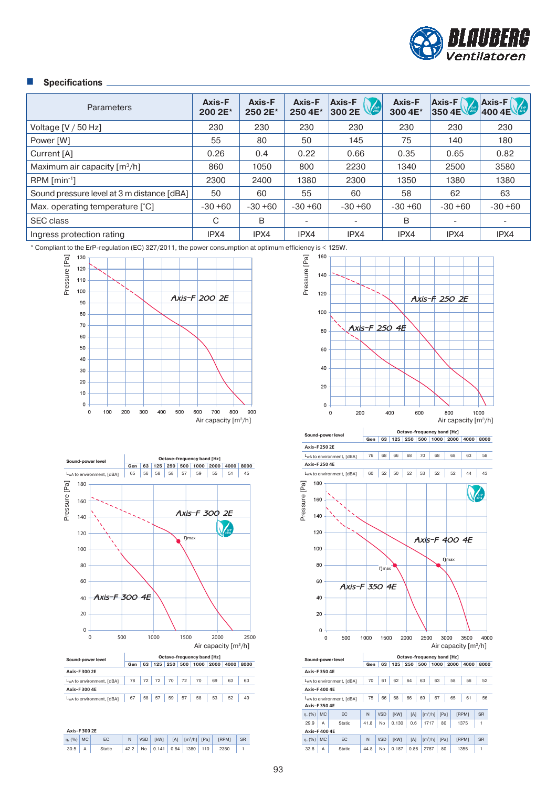

# **Specifications**

| <b>Parameters</b>                          | Axis-F<br>200 2E* | Axis-F<br>250 2E* | Axis-F<br>250 4E*        | <b>Axis-F</b><br>National Report<br>300 2E | Axis-F<br>300 4E* | $Axis-F$<br>350 4E $\sqrt{2}$ | $\begin{array}{ c c }\n\hline\n\text{Axis-F} \\ \hline\n\text{400 4E}\n\end{array}$ |
|--------------------------------------------|-------------------|-------------------|--------------------------|--------------------------------------------|-------------------|-------------------------------|-------------------------------------------------------------------------------------|
| Voltage $[V/50 Hz]$                        | 230               | 230               | 230                      | 230                                        | 230               | 230                           | 230                                                                                 |
| Power [W]                                  | 55                | 80                | 50                       | 145                                        | 75                | 140                           | 180                                                                                 |
| Current [A]                                | 0.26              | 0.4               | 0.22                     | 0.66                                       | 0.35              | 0.65                          | 0.82                                                                                |
| Maximum air capacity $\lceil m^3/h \rceil$ | 860               | 1050              | 800                      | 2230                                       | 1340              | 2500                          | 3580                                                                                |
| $RPM$ [min <sup>-1</sup> ]                 | 2300              | 2400              | 1380                     | 2300                                       | 1350              | 1380                          | 1380                                                                                |
| Sound pressure level at 3 m distance [dBA] | 50                | 60                | 55                       | 60                                         | 58                | 62                            | 63                                                                                  |
| Max. operating temperature [°C]            | $-30+60$          | $-30+60$          | $-30+60$                 | $-30+60$                                   | $-30+60$          | $-30+60$                      | $-30+60$                                                                            |
| <b>SEC class</b>                           | C                 | B                 | $\overline{\phantom{0}}$ |                                            | B                 |                               |                                                                                     |
| Ingress protection rating                  | IPX4              | IPX4              | IPX4                     | IPX4                                       | IPX4              | IPX4                          | IPX4                                                                                |

\* Compliant to the ErP-regulation (EC) 327/2011, the power consumption at optimum efficiency is < 125W.





| Axis-F 300 2E   |  |        |  |  |  |  |  |  |                                                                       |  |  |
|-----------------|--|--------|--|--|--|--|--|--|-----------------------------------------------------------------------|--|--|
| $\eta$ , (%) MC |  | EC.    |  |  |  |  |  |  | N   VSD   [kW]   [A] $\left  \frac{m^3}{h} \right $ [Pa]   [RPM]   SR |  |  |
| $30.5$ A        |  | Static |  |  |  |  |  |  | $ 42.2 $ No 0.141 0.64 1380 110 2350 1                                |  |  |



1500

2000

2500

Air capacity [m3/h]

4000

3000 3500

40  $20$  $\circ$  $\circ$ 

500

1000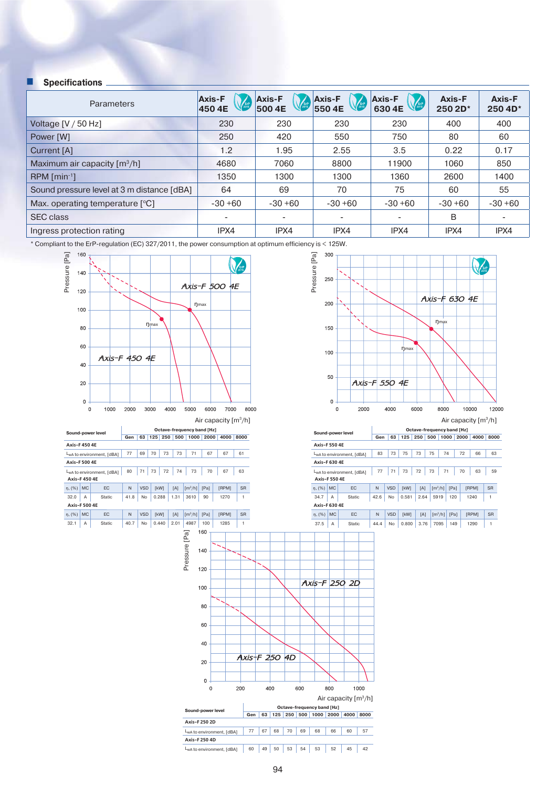## **Specifications**

| <b>Parameters</b>                          | <b>Axis-F</b><br><b>ErP</b><br>450 4E | <b>Axis-F</b><br>500 4E  | <b>Axis-F</b><br><b>ErP</b><br>550 4E | <b>Axis-F</b><br>Erp.<br>630 4E | Axis-F<br>250 2D* | Axis-F<br>250 4D* |
|--------------------------------------------|---------------------------------------|--------------------------|---------------------------------------|---------------------------------|-------------------|-------------------|
| Voltage $[V / 50 Hz]$                      | 230                                   | 230                      | 230                                   | 230                             | 400               | 400               |
| Power [W]                                  | 250                                   | 420                      | 550                                   | 750                             | 80                | 60                |
| Current [A]                                | 1.2                                   | 1.95                     | 2.55                                  | 3.5                             | 0.22              | 0.17              |
| Maximum air capacity $\lceil m^3/h \rceil$ | 4680                                  | 7060                     | 8800                                  | 11900                           | 1060              | 850               |
| $RPM$ [min <sup>-1</sup> ]                 | 1350                                  | 1300                     | 1300                                  | 1360                            | 2600              | 1400              |
| Sound pressure level at 3 m distance [dBA] | 64                                    | 69                       | 70                                    | 75                              | 60                | 55                |
| Max. operating temperature [°C]            | $-30+60$                              | $-30+60$                 | $-30+60$                              | $-30+60$                        | $-30+60$          | $-30+60$          |
| <b>SEC class</b>                           |                                       | $\overline{\phantom{a}}$ |                                       |                                 | B                 |                   |
| Ingress protection rating                  | IPX4                                  | IPX4                     | IPX4                                  | IPX4                            | IPX4              | IPX4              |

\* Compliant to the ErP-regulation (EC) 327/2011, the power consumption at optimum efficiency is < 125W.





Air capacity [m3/h]

**Sound-power level**<br> **Gen** | 63 | 125 | 250 | 500 | 1000 | 2000 | 4000 | 8000

|                           |                                        | -    | <u>vv</u>  | .           | ∼∾   | <u>vuu</u>                   | $\sim\,$ | <u>LUUV</u> | <b>TUUU</b>  | <u>uuu</u> |
|---------------------------|----------------------------------------|------|------------|-------------|------|------------------------------|----------|-------------|--------------|------------|
| Axis-F 550 4E             |                                        |      |            |             |      |                              |          |             |              |            |
|                           | L <sub>w</sub> A to environment. [dBA] | 83   | 73         | 75          | 73   | 75                           | 74       | 72          | 66           | 63         |
| Axis-F 630 4E             |                                        |      |            |             |      |                              |          |             |              |            |
| Axis-F 550 4E             | L <sub>w</sub> A to environment. [dBA] | 77   | 71         | 73          | 72   | 73                           | 71       | 70          | 63           | 59         |
| <b>MC</b><br>$\eta$ , (%) | EC                                     | N    | <b>VSD</b> | <b>TkW1</b> | [A]  | $\left[\frac{m^3}{h}\right]$ | [Pa]     |             | <b>IRPM1</b> | <b>SR</b>  |
| 34.7<br>A                 | <b>Static</b>                          | 42.6 | No         | 0.581       | 2.64 | 5919                         | 120      |             | 1240         | 1          |
| Axis-F 630 4E             |                                        |      |            |             |      |                              |          |             |              |            |
| <b>MC</b><br>$\eta$ , (%) | EC                                     | N    | <b>VSD</b> | <b>TkW1</b> | [A]  | $\left[\frac{m^3}{h}\right]$ | [Pa]     |             | [RPM]        | <b>SR</b>  |
| 37.5<br>А                 | Static                                 | 44.4 | No         | 0.800       | 3.76 | 7095                         |          | 149         | 1290         | 1          |

1000